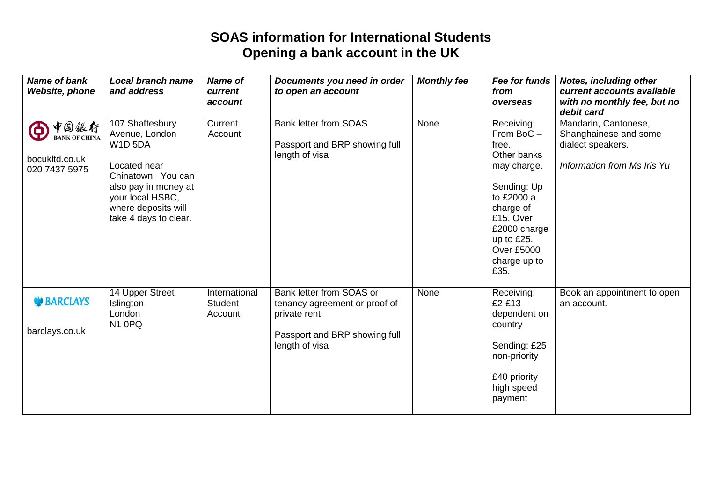## **SOAS information for International Students Opening a bank account in the UK**

| <b>Name of bank</b><br><b>Website, phone</b>                         | <b>Local branch name</b><br>and address                                                                                                                                               | <b>Name of</b><br>current<br>account | Documents you need in order<br>to open an account                                                                            | <b>Monthly fee</b> | Fee for funds<br>from<br>overseas                                                                                                                                                                | <b>Notes, including other</b><br>current accounts available<br>with no monthly fee, but no<br>debit card |
|----------------------------------------------------------------------|---------------------------------------------------------------------------------------------------------------------------------------------------------------------------------------|--------------------------------------|------------------------------------------------------------------------------------------------------------------------------|--------------------|--------------------------------------------------------------------------------------------------------------------------------------------------------------------------------------------------|----------------------------------------------------------------------------------------------------------|
| 中国銀行<br>Θ<br><b>BANK OF CHINA</b><br>bocukltd.co.uk<br>020 7437 5975 | 107 Shaftesbury<br>Avenue, London<br><b>W1D 5DA</b><br>Located near<br>Chinatown. You can<br>also pay in money at<br>your local HSBC,<br>where deposits will<br>take 4 days to clear. | Current<br>Account                   | <b>Bank letter from SOAS</b><br>Passport and BRP showing full<br>length of visa                                              | None               | Receiving:<br>From BoC-<br>free.<br>Other banks<br>may charge.<br>Sending: Up<br>to £2000 a<br>charge of<br>£15. Over<br>£2000 charge<br>up to £25.<br><b>Over £5000</b><br>charge up to<br>£35. | Mandarin, Cantonese,<br>Shanghainese and some<br>dialect speakers.<br>Information from Ms Iris Yu        |
| <b>BARCLAYS</b><br>barclays.co.uk                                    | 14 Upper Street<br>Islington<br>London<br>N <sub>1</sub> OPQ                                                                                                                          | International<br>Student<br>Account  | Bank letter from SOAS or<br>tenancy agreement or proof of<br>private rent<br>Passport and BRP showing full<br>length of visa | None               | Receiving:<br>£2-£13<br>dependent on<br>country<br>Sending: £25<br>non-priority<br>£40 priority<br>high speed<br>payment                                                                         | Book an appointment to open<br>an account.                                                               |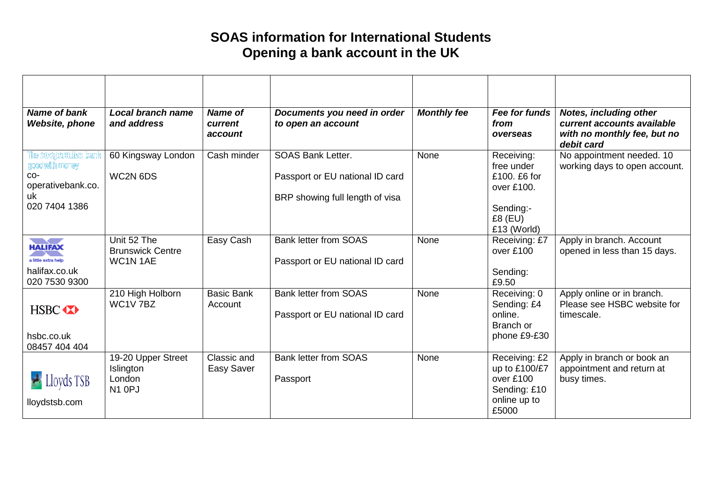## **SOAS information for International Students Opening a bank account in the UK**

| <b>Name of bank</b><br><b>Website, phone</b>                                                  | <b>Local branch name</b><br>and address                         | <b>Name of</b><br>current<br>account | Documents you need in order<br>to open an account                                              | <b>Monthly fee</b> | Fee for funds<br>from<br>overseas                                                               | <b>Notes, including other</b><br>current accounts available<br>with no monthly fee, but no<br>debit card |
|-----------------------------------------------------------------------------------------------|-----------------------------------------------------------------|--------------------------------------|------------------------------------------------------------------------------------------------|--------------------|-------------------------------------------------------------------------------------------------|----------------------------------------------------------------------------------------------------------|
| The co-operative bank<br>good with money<br>$CO-$<br>operativebank.co.<br>uk<br>020 7404 1386 | 60 Kingsway London<br>WC2N 6DS                                  | Cash minder                          | <b>SOAS Bank Letter.</b><br>Passport or EU national ID card<br>BRP showing full length of visa | None               | Receiving:<br>free under<br>£100. £6 for<br>over £100.<br>Sending:-<br>$£8$ (EU)<br>£13 (World) | No appointment needed. 10<br>working days to open account.                                               |
| ਵ≤<br><b>HALIFAX</b><br>a little extra help<br>halifax.co.uk<br>020 7530 9300                 | Unit 52 The<br><b>Brunswick Centre</b><br>WC1N 1AE              | Easy Cash                            | <b>Bank letter from SOAS</b><br>Passport or EU national ID card                                | None               | Receiving: £7<br>over £100<br>Sending:<br>£9.50                                                 | Apply in branch. Account<br>opened in less than 15 days.                                                 |
| HSBC <b>XX</b><br>hsbc.co.uk<br>08457 404 404                                                 | 210 High Holborn<br>WC1V 7BZ                                    | <b>Basic Bank</b><br>Account         | <b>Bank letter from SOAS</b><br>Passport or EU national ID card                                | None               | Receiving: 0<br>Sending: £4<br>online.<br>Branch or<br>phone £9-£30                             | Apply online or in branch.<br>Please see HSBC website for<br>timescale.                                  |
| Lloyds TSB<br>lloydstsb.com                                                                   | 19-20 Upper Street<br>Islington<br>London<br>N <sub>1</sub> OPJ | Classic and<br>Easy Saver            | <b>Bank letter from SOAS</b><br>Passport                                                       | None               | Receiving: £2<br>up to £100/£7<br>over £100<br>Sending: £10<br>online up to<br>£5000            | Apply in branch or book an<br>appointment and return at<br>busy times.                                   |